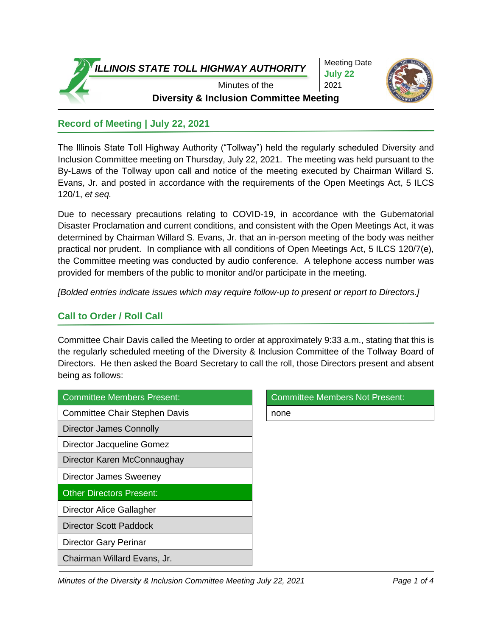*ILLINOIS STATE TOLL HIGHWAY AUTHORITY*

Meeting Date **July 22** 2021



Minutes of the **Diversity & Inclusion Committee Meeting**

### **Record of Meeting | July 22, 2021**

The Illinois State Toll Highway Authority ("Tollway") held the regularly scheduled Diversity and Inclusion Committee meeting on Thursday, July 22, 2021. The meeting was held pursuant to the By-Laws of the Tollway upon call and notice of the meeting executed by Chairman Willard S. Evans, Jr. and posted in accordance with the requirements of the Open Meetings Act, 5 ILCS 120/1, *et seq.*

Due to necessary precautions relating to COVID-19, in accordance with the Gubernatorial Disaster Proclamation and current conditions, and consistent with the Open Meetings Act, it was determined by Chairman Willard S. Evans, Jr. that an in-person meeting of the body was neither practical nor prudent. In compliance with all conditions of Open Meetings Act, 5 ILCS 120/7(e), the Committee meeting was conducted by audio conference. A telephone access number was provided for members of the public to monitor and/or participate in the meeting.

*[Bolded entries indicate issues which may require follow-up to present or report to Directors.]*

## **Call to Order / Roll Call**

Committee Chair Davis called the Meeting to order at approximately 9:33 a.m., stating that this is the regularly scheduled meeting of the Diversity & Inclusion Committee of the Tollway Board of Directors. He then asked the Board Secretary to call the roll, those Directors present and absent being as follows:

| Committee Members Present:           | <b>Committee Members Not Present:</b> |
|--------------------------------------|---------------------------------------|
| <b>Committee Chair Stephen Davis</b> | none                                  |
| <b>Director James Connolly</b>       |                                       |
| Director Jacqueline Gomez            |                                       |
| Director Karen McConnaughay          |                                       |
| Director James Sweeney               |                                       |
| <b>Other Directors Present:</b>      |                                       |
| Director Alice Gallagher             |                                       |
| <b>Director Scott Paddock</b>        |                                       |
| <b>Director Gary Perinar</b>         |                                       |
| Chairman Willard Evans, Jr.          |                                       |

| Committee Members Not Present: |
|--------------------------------|
| none                           |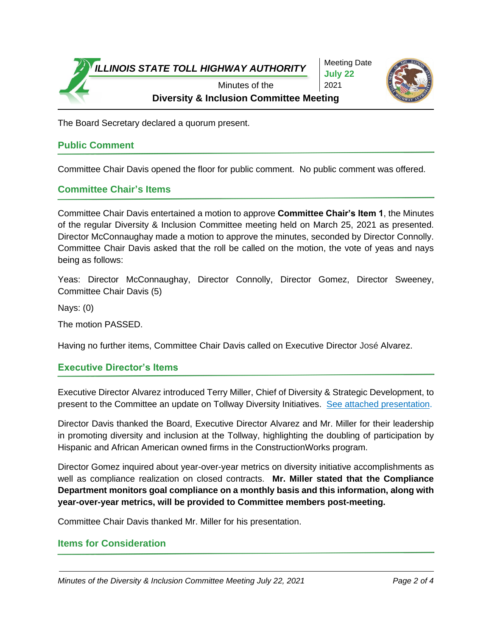

Meeting Date **July 22** 2021



The Board Secretary declared a quorum present.

# **Public Comment**

Committee Chair Davis opened the floor for public comment. No public comment was offered.

#### **Committee Chair's Items**

Committee Chair Davis entertained a motion to approve **Committee Chair's Item 1**, the Minutes of the regular Diversity & Inclusion Committee meeting held on March 25, 2021 as presented. Director McConnaughay made a motion to approve the minutes, seconded by Director Connolly. Committee Chair Davis asked that the roll be called on the motion, the vote of yeas and nays being as follows:

Yeas: Director McConnaughay, Director Connolly, Director Gomez, Director Sweeney, Committee Chair Davis (5)

Nays: (0)

The motion PASSED.

Having no further items, Committee Chair Davis called on Executive Director José Alvarez.

#### **Executive Director's Items**

Executive Director Alvarez introduced Terry Miller, Chief of Diversity & Strategic Development, to present to the Committee an update on Tollway Diversity Initiatives. [See attached presentation.](https://www.illinoistollway.com/documents/20184/1043689/20210722_DIVppt.pdf/948f765b-19a1-d508-2f32-e8e45efc52fa?version=1.0&t=1627054571573&download=true)

Director Davis thanked the Board, Executive Director Alvarez and Mr. Miller for their leadership in promoting diversity and inclusion at the Tollway, highlighting the doubling of participation by Hispanic and African American owned firms in the ConstructionWorks program.

Director Gomez inquired about year-over-year metrics on diversity initiative accomplishments as well as compliance realization on closed contracts. **Mr. Miller stated that the Compliance Department monitors goal compliance on a monthly basis and this information, along with year-over-year metrics, will be provided to Committee members post-meeting.** 

Committee Chair Davis thanked Mr. Miller for his presentation.

#### **Items for Consideration**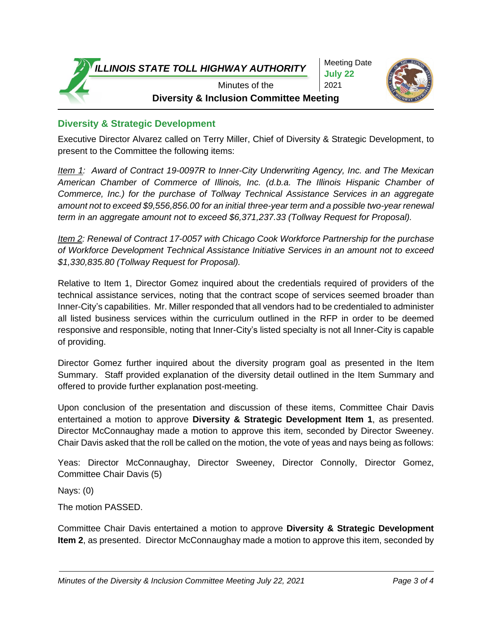*ILLINOIS STATE TOLL HIGHWAY AUTHORITY*

Meeting Date **July 22** 2021



Minutes of the **Diversity & Inclusion Committee Meeting**

## **Diversity & Strategic Development**

Executive Director Alvarez called on Terry Miller, Chief of Diversity & Strategic Development, to present to the Committee the following items:

*Item 1: Award of Contract 19-0097R to Inner-City Underwriting Agency, Inc. and The Mexican American Chamber of Commerce of Illinois, Inc. (d.b.a. The Illinois Hispanic Chamber of Commerce, Inc.) for the purchase of Tollway Technical Assistance Services in an aggregate amount not to exceed \$9,556,856.00 for an initial three-year term and a possible two-year renewal term in an aggregate amount not to exceed \$6,371,237.33 (Tollway Request for Proposal).* 

*Item 2: Renewal of Contract 17-0057 with Chicago Cook Workforce Partnership for the purchase of Workforce Development Technical Assistance Initiative Services in an amount not to exceed \$1,330,835.80 (Tollway Request for Proposal).*

Relative to Item 1, Director Gomez inquired about the credentials required of providers of the technical assistance services, noting that the contract scope of services seemed broader than Inner-City's capabilities. Mr. Miller responded that all vendors had to be credentialed to administer all listed business services within the curriculum outlined in the RFP in order to be deemed responsive and responsible, noting that Inner-City's listed specialty is not all Inner-City is capable of providing.

Director Gomez further inquired about the diversity program goal as presented in the Item Summary. Staff provided explanation of the diversity detail outlined in the Item Summary and offered to provide further explanation post-meeting.

Upon conclusion of the presentation and discussion of these items, Committee Chair Davis entertained a motion to approve **Diversity & Strategic Development Item 1**, as presented. Director McConnaughay made a motion to approve this item, seconded by Director Sweeney. Chair Davis asked that the roll be called on the motion, the vote of yeas and nays being as follows:

Yeas: Director McConnaughay, Director Sweeney, Director Connolly, Director Gomez, Committee Chair Davis (5)

Nays: (0)

The motion PASSED.

Committee Chair Davis entertained a motion to approve **Diversity & Strategic Development Item 2**, as presented. Director McConnaughay made a motion to approve this item, seconded by